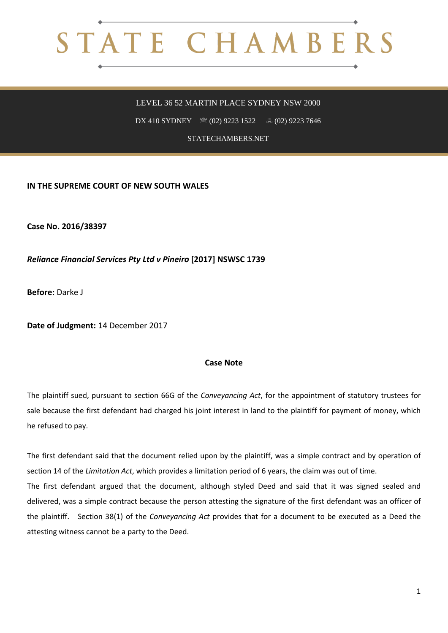## STATE CHAMBERS

## LEVEL 36 52 MARTIN PLACE SYDNEY NSW 2000

DX 410 SYDNEY <sup>3</sup> (02) 9223 1522 **4** (02) 9223 7646

STATECHAMBERS.NET

**IN THE SUPREME COURT OF NEW SOUTH WALES**

**Case No. 2016/38397**

*Reliance Financial Services Pty Ltd v Pineiro* **[2017] NSWSC 1739**

**Before:** Darke J

**Date of Judgment:** 14 December 2017

## **Case Note**

The plaintiff sued, pursuant to section 66G of the *Conveyancing Act*, for the appointment of statutory trustees for sale because the first defendant had charged his joint interest in land to the plaintiff for payment of money, which he refused to pay.

The first defendant said that the document relied upon by the plaintiff, was a simple contract and by operation of section 14 of the *Limitation Act*, which provides a limitation period of 6 years, the claim was out of time. The first defendant argued that the document, although styled Deed and said that it was signed sealed and delivered, was a simple contract because the person attesting the signature of the first defendant was an officer of the plaintiff. Section 38(1) of the *Conveyancing Act* provides that for a document to be executed as a Deed the attesting witness cannot be a party to the Deed.